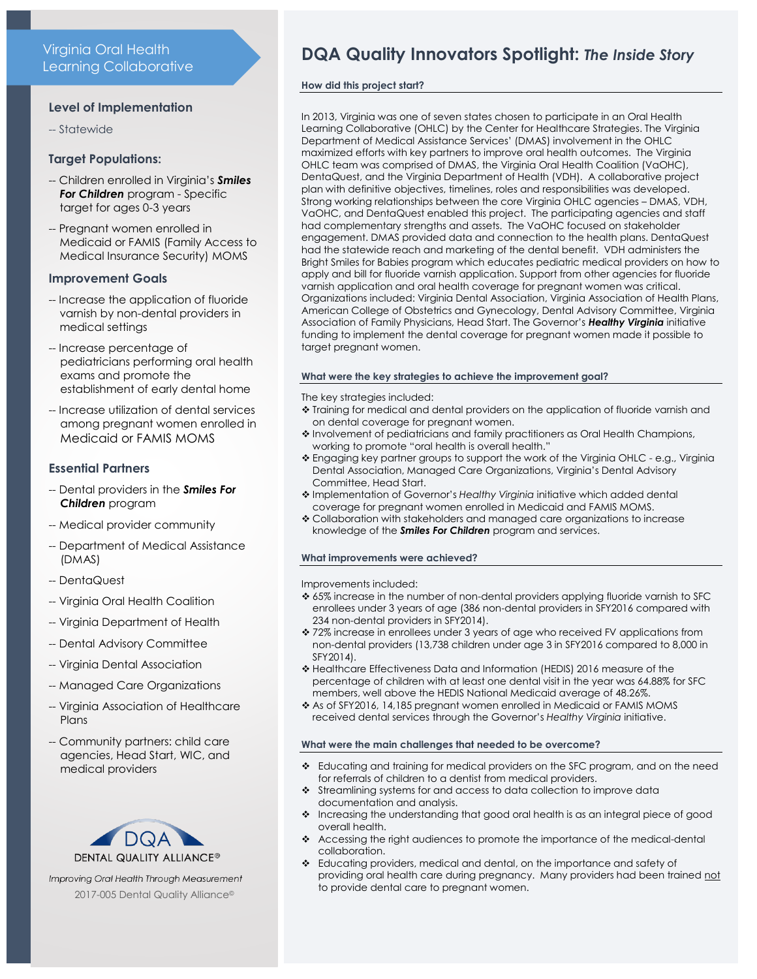## **Level of Implementation**

-- Statewide

## **Target Populations:**

- -- Children enrolled in Virginia's *Smiles For Children* program - Specific target for ages 0-3 years
- -- Pregnant women enrolled in Medicaid or FAMIS (Family Access to Medical Insurance Security) MOMS

## **Improvement Goals**

- -- Increase the application of fluoride varnish by non-dental providers in medical settings
- -- Increase percentage of pediatricians performing oral health exams and promote the establishment of early dental home
- -- Increase utilization of dental services among pregnant women enrolled in Medicaid or FAMIS MOMS

## **Essential Partners**

- -- Dental providers in the *Smiles For Children* program
- -- Medical provider community
- -- Department of Medical Assistance (DMAS)
- -- DentaQuest
- -- Virginia Oral Health Coalition
- -- Virginia Department of Health
- -- Dental Advisory Committee
- -- Virginia Dental Association
- -- Managed Care Organizations
- -- Virginia Association of Healthcare Plans
- -- Community partners: child care agencies, Head Start, WIC, and medical providers



Improving Oral Health Through Measurement 2017-005 Dental Quality Alliance©

# **DQA Quality Innovators Spotlight:** *The Inside Story*

## **How did this project start?**

In 2013, Virginia was one of seven states chosen to participate in an Oral Health Learning Collaborative (OHLC) by the Center for Healthcare Strategies. The Virginia Department of Medical Assistance Services' (DMAS) involvement in the OHLC maximized efforts with key partners to improve oral health outcomes. The Virginia OHLC team was comprised of DMAS, the Virginia Oral Health Coalition (VaOHC), DentaQuest, and the Virginia Department of Health (VDH). A collaborative project plan with definitive objectives, timelines, roles and responsibilities was developed. Strong working relationships between the core Virginia OHLC agencies – DMAS, VDH, VaOHC, and DentaQuest enabled this project. The participating agencies and staff had complementary strengths and assets. The VaOHC focused on stakeholder engagement. DMAS provided data and connection to the health plans. DentaQuest had the statewide reach and marketing of the dental benefit. VDH administers the Bright Smiles for Babies program which educates pediatric medical providers on how to apply and bill for fluoride varnish application. Support from other agencies for fluoride varnish application and oral health coverage for pregnant women was critical. Organizations included: Virginia Dental Association, Virginia Association of Health Plans, American College of Obstetrics and Gynecology, Dental Advisory Committee, Virginia Association of Family Physicians, Head Start. The Governor's *Healthy Virginia* initiative funding to implement the dental coverage for pregnant women made it possible to target pregnant women.

## **What were the key strategies to achieve the improvement goal?**

The key strategies included:

- Training for medical and dental providers on the application of fluoride varnish and on dental coverage for pregnant women.
- \* Involvement of pediatricians and family practitioners as Oral Health Champions, working to promote "oral health is overall health."
- Engaging key partner groups to support the work of the Virginia OHLC e.g., Virginia Dental Association, Managed Care Organizations, Virginia's Dental Advisory Committee, Head Start.
- Implementation of Governor's *Healthy Virginia* initiative which added dental coverage for pregnant women enrolled in Medicaid and FAMIS MOMS.
- Collaboration with stakeholders and managed care organizations to increase knowledge of the *Smiles For Children* program and services.

## **What improvements were achieved?**

Improvements included:

- 65% increase in the number of non-dental providers applying fluoride varnish to SFC enrollees under 3 years of age (386 non-dental providers in SFY2016 compared with 234 non-dental providers in SFY2014).
- 72% increase in enrollees under 3 years of age who received FV applications from non-dental providers (13,738 children under age 3 in SFY2016 compared to 8,000 in SFY2014).
- Healthcare Effectiveness Data and Information (HEDIS) 2016 measure of the percentage of children with at least one dental visit in the year was 64.88% for SFC members, well above the HEDIS National Medicaid average of 48.26%.
- \* As of SFY2016, 14,185 pregnant women enrolled in Medicaid or FAMIS MOMS received dental services through the Governor's *Healthy Virginia* initiative.

#### **What were the main challenges that needed to be overcome?**

- Educating and training for medical providers on the SFC program, and on the need for referrals of children to a dentist from medical providers.
- Streamlining systems for and access to data collection to improve data documentation and analysis.
- Increasing the understanding that good oral health is as an integral piece of good overall health.
- Accessing the right audiences to promote the importance of the medical-dental collaboration.
- Educating providers, medical and dental, on the importance and safety of providing oral health care during pregnancy. Many providers had been trained not to provide dental care to pregnant women.